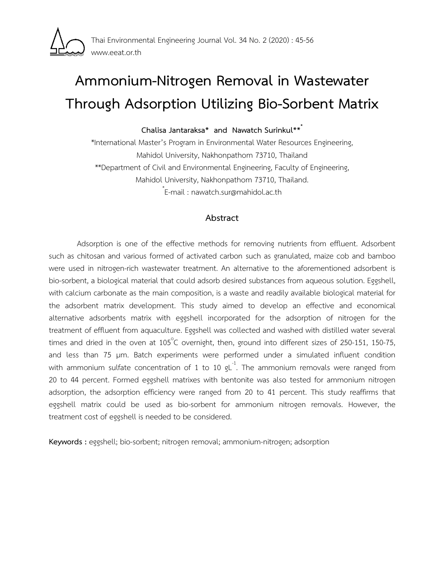

# **Ammonium-Nitrogen Removal in Wastewater Through Adsorption Utilizing Bio-Sorbent Matrix**

## **Chalisa Jantaraksa\* and Nawatch Surinkul\*\*\***

\*International Master's Program in Environmental Water Resources Engineering, Mahidol University, Nakhonpathom 73710, Thailand \*\*Department of Civil and Environmental Engineering, Faculty of Engineering, Mahidol University, Nakhonpathom 73710, Thailand. \* E-mail : nawatch.sur@mahidol.ac.th

## **Abstract**

Adsorption is one of the effective methods for removing nutrients from effluent. Adsorbent such as chitosan and various formed of activated carbon such as granulated, maize cob and bamboo were used in nitrogen-rich wastewater treatment. An alternative to the aforementioned adsorbent is bio-sorbent, a biological material that could adsorb desired substances from aqueous solution. Eggshell, with calcium carbonate as the main composition, is a waste and readily available biological material for the adsorbent matrix development. This study aimed to develop an effective and economical alternative adsorbents matrix with eggshell incorporated for the adsorption of nitrogen for the treatment of effluent from aquaculture. Eggshell was collected and washed with distilled water several times and dried in the oven at 105 $^{\circ}$ C overnight, then, ground into different sizes of 250-151, 150-75, and less than 75 µm. Batch experiments were performed under a simulated influent condition with ammonium sulfate concentration of 1 to 10  $\text{gl}^{-1}$ . The ammonium removals were ranged from 20 to 44 percent. Formed eggshell matrixes with bentonite was also tested for ammonium nitrogen adsorption, the adsorption efficiency were ranged from 20 to 41 percent. This study reaffirms that eggshell matrix could be used as bio-sorbent for ammonium nitrogen removals. However, the treatment cost of eggshell is needed to be considered.

**Keywords :** eggshell; bio-sorbent; nitrogen removal; ammonium-nitrogen; adsorption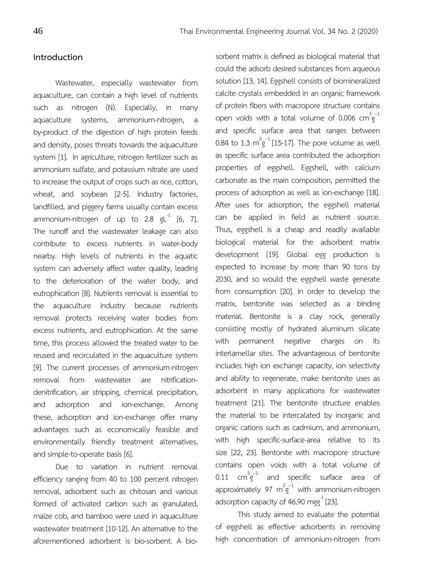## **Introduction**

Wastewater, especially wastewater from aquaculture, can contain a high level of nutrients such as nitrogen (N). Especially, in many aquaculture systems, ammonium-nitrogen, a by-product of the digestion of high protein feeds and density, poses threats towards the aquaculture system [1]. In agriculture, nitrogen fertilizer such as ammonium sulfate, and potassium nitrate are used to increase the output of crops such as rice, cotton, wheat, and soybean [2-5]. Industry factories, landfilled, and piggery farms usually contain excess ammonium-nitrogen of up to 2.8  $\ell^{-1}$  [6, 7]. The runoff and the wastewater leakage can also contribute to excess nutrients in water-body nearby. High levels of nutrients in the aquatic system can adversely affect water quality, leading to the deterioration of the water body, and eutrophication [8]. Nutrients removal is essential to the aquaculture industry because nutrients removal protects receiving water bodies from excess nutrients, and eutrophication. At the same time, this process allowed the treated water to be reused and recirculated in the aquaculture system [9]. The current processes of ammonium-nitrogen removal from wastewater are nitrificationdenitrification, air stripping, chemical precipitation, and adsorption and ion-exchange. Among these, adsorption and ion-exchange offer many advantages such as economically feasible and environmentally friendly treatment alternatives, and simple-to-operate basis [6].

Due to variation in nutrient removal efficiency ranging from 40 to 100 percent nitrogen removal, adsorbent such as chitosan and various formed of activated carbon such as granulated, maize cob, and bamboo were used in aquaculture wastewater treatment [10-12]. An alternative to the aforementioned adsorbent is bio-sorbent. A bio-

sorbent matrix is defined as biological material that could the adsorb desired substances from aqueous solution [13, 14]. Eggshell consists of biomineralized calcite crystals embedded in an organic framework of protein fibers with macropore structure contains open voids with a total volume of 0.006  $\text{cm}^3\text{g}^{-1}$ and specific surface area that ranges between 0.84 to 1.3  $m^{2}g^{-1}$  [15-17]. The pore volume as well as specific surface area contributed the adsorption properties of eggshell. Eggshell, with calcium carbonate as the main composition, permitted the process of adsorption as well as ion-exchange [18]. After uses for adsorption, the eggshell material can be applied in field as nutrient source. Thus, eggshell is a cheap and readily available biological material for the adsorbent matrix development [19]. Global egg production is expected to increase by more than 90 tons by 2030, and so would the eggshell waste generate from consumption [20]. In order to develop the matrix, bentonite was selected as a binding material. Bentonite is a clay rock, generally consisting mostly of hydrated aluminum silicate with permanent negative charges on its interlamellar sites. The advantageous of bentonite includes high ion exchange capacity, ion selectivity and ability to regenerate, make bentonite uses as adsorbent in many applications for wastewater treatment [21]. The bentonite structure enables the material to be intercalated by inorganic and organic cations such as cadmium, and ammonium, with high specific-surface-area relative to its size [22, 23]. Bentonite with macropore structure contains open voids with a total volume of 0.11  $\text{cm}^3$  g and specific surface area of approximately 97  $m^2g^{-1}$  with ammonium-nitrogen adsorption capacity of  $46.90$  mgg<sup>-1</sup> [23].

This study aimed to evaluate the potential of eggshell as effective adsorbents in removing high concentration of ammonium-nitrogen from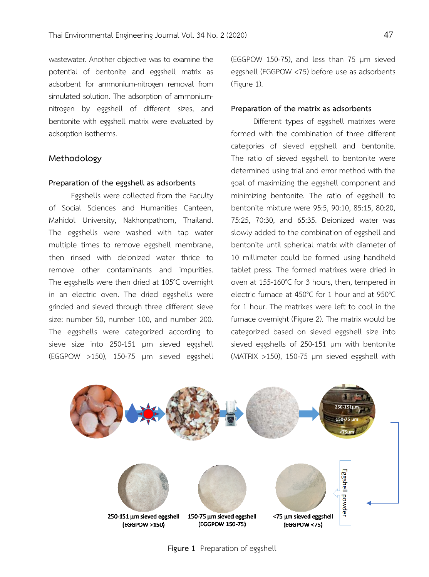wastewater. Another objective was to examine the potential of bentonite and eggshell matrix as adsorbent for ammonium-nitrogen removal from simulated solution. The adsorption of ammoniumnitrogen by eggshell of different sizes, and bentonite with eggshell matrix were evaluated by adsorption isotherms.

#### **Methodology**

#### **Preparation of the eggshell as adsorbents**

Eggshells were collected from the Faculty of Social Sciences and Humanities Canteen, Mahidol University, Nakhonpathom, Thailand. The eggshells were washed with tap water multiple times to remove eggshell membrane, then rinsed with deionized water thrice to remove other contaminants and impurities. The eggshells were then dried at 105°C overnight in an electric oven. The dried eggshells were grinded and sieved through three different sieve size: number 50, number 100, and number 200. The eggshells were categorized according to sieve size into 250-151 µm sieved eggshell (EGGPOW >150), 150-75 µm sieved eggshell (EGGPOW 150-75), and less than 75 µm sieved eggshell (EGGPOW <75) before use as adsorbents (Figure 1).

#### **Preparation of the matrix as adsorbents**

Different types of eggshell matrixes were formed with the combination of three different categories of sieved eggshell and bentonite. The ratio of sieved eggshell to bentonite were determined using trial and error method with the goal of maximizing the eggshell component and minimizing bentonite. The ratio of eggshell to bentonite mixture were 95:5, 90:10, 85:15, 80:20, 75:25, 70:30, and 65:35. Deionized water was slowly added to the combination of eggshell and bentonite until spherical matrix with diameter of 10 millimeter could be formed using handheld tablet press. The formed matrixes were dried in oven at 155-160°C for 3 hours, then, tempered in electric furnace at 450°C for 1 hour and at 950°C for 1 hour. The matrixes were left to cool in the furnace overnight (Figure 2). The matrix would be categorized based on sieved eggshell size into sieved eggshells of 250-151 µm with bentonite (MATRIX >150), 150-75 µm sieved eggshell with



**Figure 1** Preparation of eggshell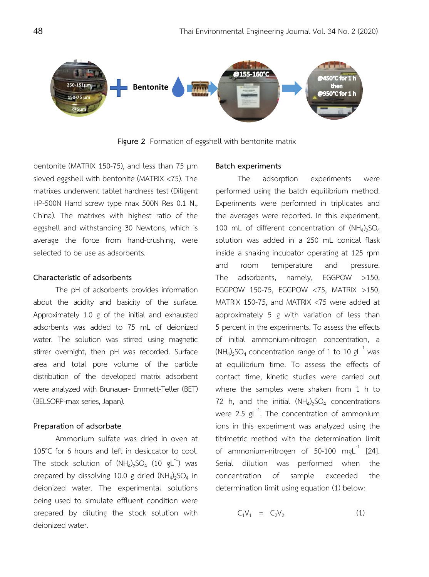

**Figure 2** Formation of eggshell with bentonite matrix

bentonite (MATRIX 150-75), and less than 75 µm sieved eggshell with bentonite (MATRIX <75). The matrixes underwent tablet hardness test (Diligent HP-500N Hand screw type max 500N Res 0.1 N., China). The matrixes with highest ratio of the eggshell and withstanding 30 Newtons, which is average the force from hand-crushing, were selected to be use as adsorbents.

#### **Characteristic of adsorbents**

The pH of adsorbents provides information about the acidity and basicity of the surface. Approximately 1.0 g of the initial and exhausted adsorbents was added to 75 mL of deionized water. The solution was stirred using magnetic stirrer overnight, then pH was recorded. Surface area and total pore volume of the particle distribution of the developed matrix adsorbent were analyzed with Brunauer- Emmett-Teller (BET) (BELSORP-max series, Japan).

#### **Preparation of adsorbate**

Ammonium sulfate was dried in oven at 105°C for 6 hours and left in desiccator to cool. The stock solution of  $(NH_4)_2SO_4$  (10 gL<sup>-1</sup>) was prepared by dissolving 10.0 g dried  $(NH_4)_2SO_4$  in deionized water. The experimental solutions being used to simulate effluent condition were prepared by diluting the stock solution with deionized water.

#### **Batch experiments**

The adsorption experiments were performed using the batch equilibrium method. Experiments were performed in triplicates and the averages were reported. In this experiment, 100 mL of different concentration of  $(NH_4)_2SO_4$ solution was added in a 250 mL conical flask inside a shaking incubator operating at 125 rpm and room temperature and pressure. The adsorbents, namely, EGGPOW >150, EGGPOW 150-75, EGGPOW <75, MATRIX >150, MATRIX 150-75, and MATRIX <75 were added at approximately 5 g with variation of less than 5 percent in the experiments. To assess the effects of initial ammonium-nitrogen concentration, a  $(NH_4)_2SO_4$  concentration range of 1 to 10 gL<sup>-1</sup> was at equilibrium time. To assess the effects of contact time, kinetic studies were carried out where the samples were shaken from 1 h to 72 h, and the initial  $(NH_4)_2SO_4$  concentrations were 2.5  $gl^{-1}$ . The concentration of ammonium ions in this experiment was analyzed using the titrimetric method with the determination limit of ammonium-nitrogen of 50-100 mg $L^1$  [24]. Serial dilution was performed when the concentration of sample exceeded the determination limit using equation (1) below:

$$
C_1 V_1 = C_2 V_2 \tag{1}
$$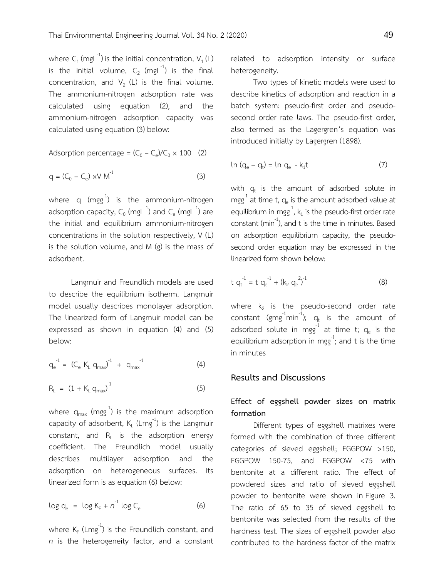where  $C_1$  (mgL<sup>-1</sup>) is the initial concentration, V<sub>1</sub> (L) is the initial volume,  $C_2$  (mgL<sup>-1</sup>) is the final concentration, and  $V_2$  (L) is the final volume. The ammonium-nitrogen adsorption rate was calculated using equation (2), and the ammonium-nitrogen adsorption capacity was calculated using equation (3) below:

$$
Adsorption percentage = (C_0 - C_e)/C_0 \times 100 \quad (2)
$$

$$
q = (C_0 - C_e) \times V M^1 \tag{3}
$$

where  $q \text{ (mgg}^{-1})$  is the ammonium-nitrogen adsorption capacity,  $C_0$  (mgL<sup>-1</sup>) and  $C_e$  (mgL<sup>-1</sup>) are the initial and equilibrium ammonium-nitrogen concentrations in the solution respectively, V (L) is the solution volume, and M (g) is the mass of adsorbent.

Langmuir and Freundlich models are used to describe the equilibrium isotherm. Langmuir model usually describes monolayer adsorption. The linearized form of Langmuir model can be expressed as shown in equation (4) and (5) below:

$$
q_e^{-1} = (C_e \ K_L \ q_{max})^{-1} + q_{max}^{-1} \tag{4}
$$

$$
R_{L} = (1 + K_{L} q_{max})^{-1}
$$
 (5)

where  $q_{max}$  (mgg<sup>-1</sup>) is the maximum adsorption capacity of adsorbent,  $K_{L}$  (Lmg<sup>-1</sup>) is the Langmuir constant, and  $R_1$  is the adsorption energy coefficient. The Freundlich model usually describes multilayer adsorption and the adsorption on heterogeneous surfaces. Its linearized form is as equation (6) below:

$$
\log q_e = \log K_F + n^{-1} \log C_e \tag{6}
$$

where  $K_F$  (Lmg<sup>-1</sup>) is the Freundlich constant, and *n* is the heterogeneity factor, and a constant

related to adsorption intensity or surface heterogeneity.

Two types of kinetic models were used to describe kinetics of adsorption and reaction in a batch system: pseudo-first order and pseudosecond order rate laws. The pseudo-first order, also termed as the Lagergren's equation was introduced initially by Lagergren (1898).

$$
\ln (q_e - q_t) = \ln q_e - k_1 t \tag{7}
$$

with  $q_t$  is the amount of adsorbed solute in  $mgs<sup>-1</sup>$  at time t,  $q<sub>e</sub>$  is the amount adsorbed value at equilibrium in mgg<sup>-1</sup>,  $k_1$  is the pseudo-first order rate constant ( $min^{-1}$ ), and t is the time in minutes. Based on adsorption equilibrium capacity, the pseudosecond order equation may be expressed in the linearized form shown below:

$$
t q_t^{-1} = t q_e^{-1} + (k_2 q_e^2)^{-1}
$$
 (8)

where  $k_2$  is the pseudo-second order rate constant (gmg<sup>-1</sup>min<sup>-1</sup>);  $q_t$  is the amount of adsorbed solute in mgg<sup>-1</sup> at time t;  $q_e$  is the equilibrium adsorption in mgg<sup>-1</sup>; and t is the time in minutes

#### **Results and Discussions**

## **Effect of eggshell powder sizes on matrix formation**

Different types of eggshell matrixes were formed with the combination of three different categories of sieved eggshell; EGGPOW >150, EGGPOW 150-75, and EGGPOW <75 with bentonite at a different ratio. The effect of powdered sizes and ratio of sieved eggshell powder to bentonite were shown in Figure 3. The ratio of 65 to 35 of sieved eggshell to bentonite was selected from the results of the hardness test. The sizes of eggshell powder also contributed to the hardness factor of the matrix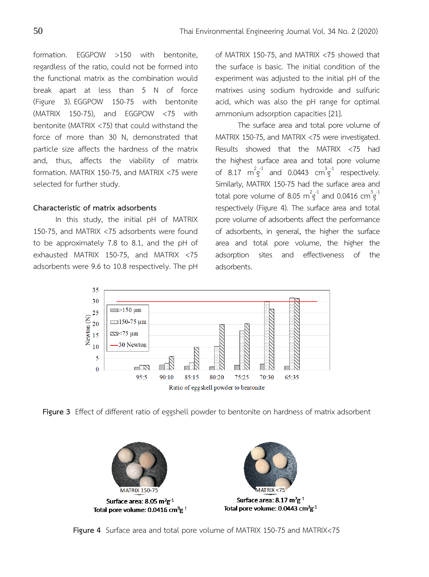formation. EGGPOW >150 with bentonite, regardless of the ratio, could not be formed into the functional matrix as the combination would break apart at less than 5 N of force (Figure 3). EGGPOW 150-75 with bentonite (MATRIX 150-75), and EGGPOW <75 with bentonite (MATRIX <75) that could withstand the force of more than 30 N, demonstrated that particle size affects the hardness of the matrix and, thus, affects the viability of matrix formation. MATRIX 150-75, and MATRIX <75 were selected for further study.

### **Characteristic of matrix adsorbents**

In this study, the initial pH of MATRIX 150-75, and MATRIX <75 adsorbents were found to be approximately 7.8 to 8.1, and the pH of exhausted MATRIX 150-75, and MATRIX <75 adsorbents were 9.6 to 10.8 respectively. The pH

of MATRIX 150-75, and MATRIX <75 showed that the surface is basic. The initial condition of the experiment was adjusted to the initial pH of the matrixes using sodium hydroxide and sulfuric acid, which was also the pH range for optimal ammonium adsorption capacities [21].

The surface area and total pore volume of MATRIX 150-75, and MATRIX <75 were investigated. Results showed that the MATRIX <75 had the highest surface area and total pore volume of 8.17  $m_g^2$  and 0.0443  $cm_g^3$  respectively. Similarly, MATRIX 150-75 had the surface area and total pore volume of 8.05  $\mathrm{m}^2 \mathrm{g}^{-1}$  and 0.0416  $\mathrm{cm}^3 \mathrm{g}^{-1}$ respectively (Figure 4). The surface area and total pore volume of adsorbents affect the performance of adsorbents, in general, the higher the surface area and total pore volume, the higher the adsorption sites and effectiveness of the adsorbents.



**Figure 3** Effect of different ratio of eggshell powder to bentonite on hardness of matrix adsorbent



**Figure 4** Surface area and total pore volume of MATRIX 150-75 and MATRIX<75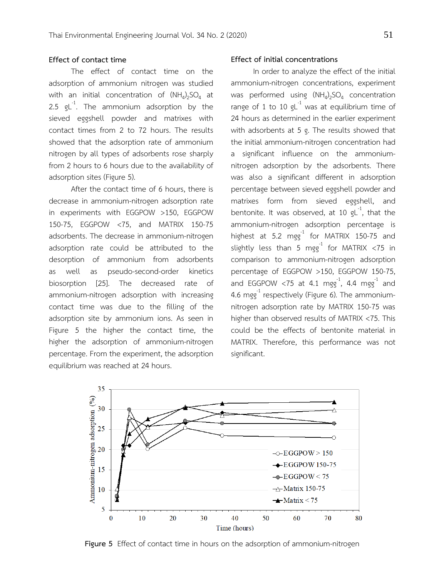#### **Effect of contact time**

The effect of contact time on the adsorption of ammonium nitrogen was studied with an initial concentration of  $(NH_4)_2SO_4$  at 2.5  $gL^{-1}$ . The ammonium adsorption by the sieved eggshell powder and matrixes with contact times from 2 to 72 hours. The results showed that the adsorption rate of ammonium nitrogen by all types of adsorbents rose sharply from 2 hours to 6 hours due to the availability of adsorption sites (Figure 5).

After the contact time of 6 hours, there is decrease in ammonium-nitrogen adsorption rate in experiments with EGGPOW >150, EGGPOW 150-75, EGGPOW <75, and MATRIX 150-75 adsorbents. The decrease in ammonium-nitrogen adsorption rate could be attributed to the desorption of ammonium from adsorbents as well as pseudo-second-order kinetics biosorption [25]. The decreased rate of ammonium-nitrogen adsorption with increasing contact time was due to the filling of the adsorption site by ammonium ions. As seen in Figure 5 the higher the contact time, the higher the adsorption of ammonium-nitrogen percentage. From the experiment, the adsorption equilibrium was reached at 24 hours.

#### **Effect of initial concentrations**

In order to analyze the effect of the initial ammonium-nitrogen concentrations, experiment was performed using  $(NH_4)_2SO_4$  concentration range of 1 to 10  $\mathrm{gl}^{-1}$  was at equilibrium time of 24 hours as determined in the earlier experiment with adsorbents at 5 g. The results showed that the initial ammonium-nitrogen concentration had a significant influence on the ammoniumnitrogen adsorption by the adsorbents. There was also a significant different in adsorption percentage between sieved eggshell powder and matrixes form from sieved eggshell, and bentonite. It was observed, at 10  $\text{gl}^{-1}$ , that the ammonium-nitrogen adsorption percentage is highest at 5.2 mgg $^{-1}$  for MATRIX 150-75 and slightly less than 5 mgg<sup>-1</sup> for MATRIX <75 in comparison to ammonium-nitrogen adsorption percentage of EGGPOW >150, EGGPOW 150-75, and EGGPOW <75 at 4.1  $mgg^{-1}$ , 4.4  $mgg^{-1}$  and 4.6  $mg^{1}$  respectively (Figure 6). The ammoniumnitrogen adsorption rate by MATRIX 150-75 was higher than observed results of MATRIX <75. This could be the effects of bentonite material in MATRIX. Therefore, this performance was not significant.



**Figure 5** Effect of contact time in hours on the adsorption of ammonium-nitrogen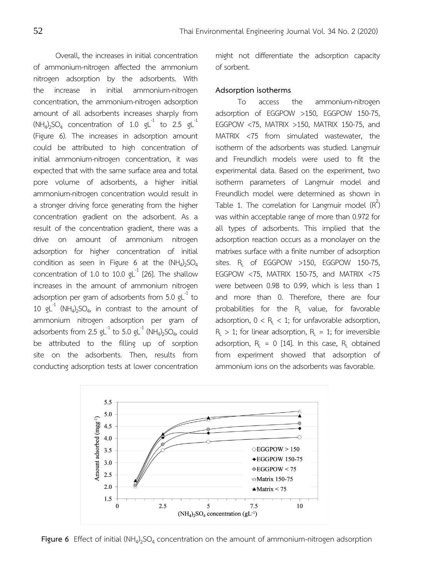Overall, the increases in initial concentration of ammonium-nitrogen affected the ammonium nitrogen adsorption by the adsorbents. With the increase in initial ammonium-nitrogen concentration, the ammonium-nitrogen adsorption amount of all adsorbents increases sharply from  $(NH_4)_2$ SO<sub>4</sub> concentration of 1.0 gL<sup>-1</sup> to 2.5 gL<sup>-1</sup> (Figure 6). The increases in adsorption amount could be attributed to high concentration of initial ammonium-nitrogen concentration, it was expected that with the same surface area and total pore volume of adsorbents, a higher initial ammonium-nitrogen concentration would result in a stronger driving force generating from the higher concentration gradient on the adsorbent. As a result of the concentration gradient, there was a drive on amount of ammonium nitrogen adsorption for higher concentration of initial condition as seen in Figure 6 at the  $(NH_d)_{2}SO_d$ concentration of 1.0 to 10.0  $qL^{-1}$  [26]. The shallow increases in the amount of ammonium nitrogen adsorption per gram of adsorbents from 5.0  $\mathrm{gl}^{-1}$  to 10  $\text{gl}^{-1}$  (NH<sub>a</sub>)<sub>2</sub>SO<sub>4</sub>, in contrast to the amount of ammonium nitrogen adsorption per gram of adsorbents from 2.5  $\text{gl}^{-1}$  to 5.0  $\text{gl}^{-1}$  (NH<sub>4</sub>)<sub>2</sub>SO<sub>4</sub>, could be attributed to the filling up of sorption site on the adsorbents. Then, results from conducting adsorption tests at lower concentration

might not differentiate the adsorption capacity of sorbent.

### **Adsorption isotherms**

To access the ammonium-nitrogen adsorption of EGGPOW >150, EGGPOW 150-75, EGGPOW <75, MATRIX >150, MATRIX 150-75, and MATRIX <75 from simulated wastewater, the isotherm of the adsorbents was studied. Langmuir and Freundlich models were used to fit the experimental data. Based on the experiment, two isotherm parameters of Langmuir model and Freundlich model were determined as shown in Table 1. The correlation for Langmuir model  $(R^2)$ was within acceptable range of more than 0.972 for all types of adsorbents. This implied that the adsorption reaction occurs as a monolayer on the matrixes surface with a finite number of adsorption sites.  $R_1$  of EGGPOW >150, EGGPOW 150-75, EGGPOW <75, MATRIX 150-75, and MATRIX <75 were between 0.98 to 0.99, which is less than 1 and more than 0. Therefore, there are four probabilities for the  $R_L$  value, for favorable adsorption,  $0 < R_{\text{l}} < 1$ ; for unfavorable adsorption,  $R_1 > 1$ ; for linear adsorption,  $R_1 = 1$ ; for irreversible adsorption,  $R_1 = 0$  [14]. In this case,  $R_1$  obtained from experiment showed that adsorption of ammonium ions on the adsorbents was favorable.



Figure 6 Effect of initial (NH<sub>a</sub>)<sub>2</sub>SO<sub>4</sub> concentration on the amount of ammonium-nitrogen adsorption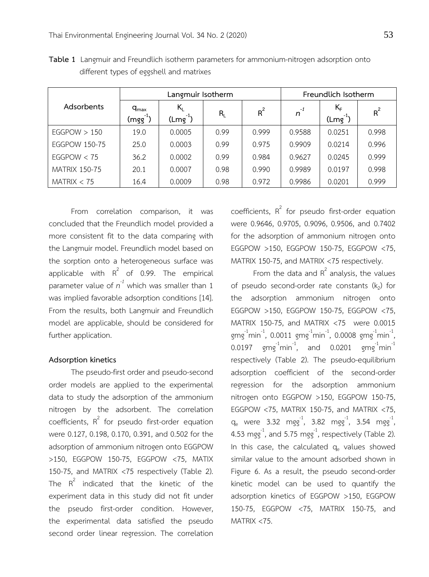|                      |                            | Langmuir Isotherm  |         | Freundlich Isotherm |          |                       |       |
|----------------------|----------------------------|--------------------|---------|---------------------|----------|-----------------------|-------|
| Adsorbents           | $q_{\text{max}}$<br>(mgg i | K,<br>$(Lmg^{-1})$ | $R_{L}$ | $R^2$               | $n^{-1}$ | $K_F$<br>$(Lmg^{-1})$ | $R^2$ |
| EGGPOW > 150         | 19.0                       | 0.0005             | 0.99    | 0.999               | 0.9588   | 0.0251                | 0.998 |
| EGGPOW 150-75        | 25.0                       | 0.0003             | 0.99    | 0.975               | 0.9909   | 0.0214                | 0.996 |
| EGGPOW < 75          | 36.2                       | 0.0002             | 0.99    | 0.984               | 0.9627   | 0.0245                | 0.999 |
| <b>MATRIX 150-75</b> | 20.1                       | 0.0007             | 0.98    | 0.990               | 0.9989   | 0.0197                | 0.998 |
| MATRIX < 75          | 16.4                       | 0.0009             | 0.98    | 0.972               | 0.9986   | 0.0201                | 0.999 |

**Table 1** Langmuir and Freundlich isotherm parameters for ammonium-nitrogen adsorption onto different types of eggshell and matrixes

From correlation comparison, it was concluded that the Freundlich model provided a more consistent fit to the data comparing with the Langmuir model. Freundlich model based on the sorption onto a heterogeneous surface was applicable with  $R^2$  of 0.99. The empirical parameter value of *n -1* which was smaller than 1 was implied favorable adsorption conditions [14]. From the results, both Langmuir and Freundlich model are applicable, should be considered for further application.

#### **Adsorption kinetics**

The pseudo-first order and pseudo-second order models are applied to the experimental data to study the adsorption of the ammonium nitrogen by the adsorbent. The correlation coefficients,  $R^2$  for pseudo first-order equation were 0.127, 0.198, 0.170, 0.391, and 0.502 for the adsorption of ammonium nitrogen onto EGGPOW >150, EGGPOW 150-75, EGGPOW <75, MATIX 150-75, and MATRIX <75 respectively (Table 2). The  $R^2$  indicated that the kinetic of the experiment data in this study did not fit under the pseudo first-order condition. However, the experimental data satisfied the pseudo second order linear regression. The correlation

coefficients,  $R^2$  for pseudo first-order equation were 0.9646, 0.9705, 0.9096, 0.9506, and 0.7402 for the adsorption of ammonium nitrogen onto EGGPOW >150, EGGPOW 150-75, EGGPOW <75, MATRIX 150-75, and MATRIX <75 respectively.

From the data and  $R^2$  analysis, the values of pseudo second-order rate constants  $(k_2)$  for the adsorption ammonium nitrogen onto EGGPOW >150, EGGPOW 150-75, EGGPOW <75, MATRIX 150-75, and MATRIX <75 were 0.0015  $\text{gmg}^{-1}\text{min}^{-1}$ , 0.0011  $\text{gmg}^{-1}\text{min}^{-1}$ , 0.0008  $\text{gmg}^{-1}\text{min}^{-1}$ , 0.0197  $\text{gmg}^1 \text{min}^1$ , and 0.0201  $\text{gmg}^1 \text{min}^1$ respectively (Table 2). The pseudo-equilibrium adsorption coefficient of the second-order regression for the adsorption ammonium nitrogen onto EGGPOW >150, EGGPOW 150-75, EGGPOW <75, MATRIX 150-75, and MATRIX <75,  $q_e$  were 3.32 mgg<sup>-1</sup>, 3.82 mgg<sup>-1</sup>, 3.54 mgg<sup>-1</sup>, 4.53 mgg<sup>-1</sup>, and 5.75 mgg<sup>-1</sup>, respectively (Table 2). In this case, the calculated  $q_e$  values showed similar value to the amount adsorbed shown in Figure 6. As a result, the pseudo second-order kinetic model can be used to quantify the adsorption kinetics of EGGPOW >150, EGGPOW 150-75, EGGPOW <75, MATRIX 150-75, and MATRIX <75.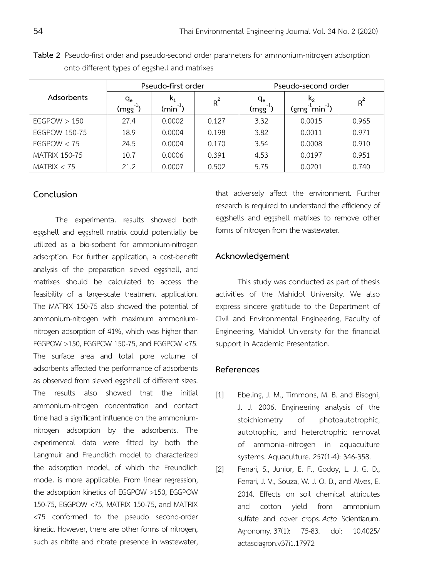**Table 2** Pseudo-first order and pseudo-second order parameters for ammonium-nitrogen adsorption onto different types of eggshell and matrixes

|                      | Pseudo-first order |            |       | Pseudo-second order |                                   |       |  |
|----------------------|--------------------|------------|-------|---------------------|-----------------------------------|-------|--|
| Adsorbents           | qe<br>(mgg         | ĸ,<br>(min | $R^2$ | $q_e$<br>(mgg       | $^1$ min $^{\text{-1}}$ )<br>(gmg | $R^2$ |  |
| EGGPOW > 150         | 27.4               | 0.0002     | 0.127 | 3.32                | 0.0015                            | 0.965 |  |
| EGGPOW 150-75        | 18.9               | 0.0004     | 0.198 | 3.82                | 0.0011                            | 0.971 |  |
| EGGPOW < 75          | 24.5               | 0.0004     | 0.170 | 3.54                | 0.0008                            | 0.910 |  |
| <b>MATRIX 150-75</b> | 10.7               | 0.0006     | 0.391 | 4.53                | 0.0197                            | 0.951 |  |
| MATRIX < 75          | 21.2               | 0.0007     | 0.502 | 5.75                | 0.0201                            | 0.740 |  |

## **Conclusion**

The experimental results showed both eggshell and eggshell matrix could potentially be utilized as a bio-sorbent for ammonium-nitrogen adsorption. For further application, a cost-benefit analysis of the preparation sieved eggshell, and matrixes should be calculated to access the feasibility of a large-scale treatment application. The MATRIX 150-75 also showed the potential of ammonium-nitrogen with maximum ammoniumnitrogen adsorption of 41%, which was higher than EGGPOW >150, EGGPOW 150-75, and EGGPOW <75. The surface area and total pore volume of adsorbents affected the performance of adsorbents as observed from sieved eggshell of different sizes. The results also showed that the initial ammonium-nitrogen concentration and contact time had a significant influence on the ammoniumnitrogen adsorption by the adsorbents. The experimental data were fitted by both the Langmuir and Freundlich model to characterized the adsorption model, of which the Freundlich model is more applicable. From linear regression, the adsorption kinetics of EGGPOW >150, EGGPOW 150-75, EGGPOW <75, MATRIX 150-75, and MATRIX <75 conformed to the pseudo second-order kinetic. However, there are other forms of nitrogen, such as nitrite and nitrate presence in wastewater,

that adversely affect the environment. Further research is required to understand the efficiency of eggshells and eggshell matrixes to remove other forms of nitrogen from the wastewater.

#### **Acknowledgement**

This study was conducted as part of thesis activities of the Mahidol University. We also express sincere gratitude to the Department of Civil and Environmental Engineering, Faculty of Engineering, Mahidol University for the financial support in Academic Presentation.

## **References**

- [1] Ebeling, J. M., Timmons, M. B. and Bisogni, J. J. 2006. Engineering analysis of the stoichiometry of photoautotrophic, autotrophic, and heterotrophic removal of ammonia–nitrogen in aquaculture systems. Aquaculture. 257(1-4): 346-358.
- [2] Ferrari, S., Junior, E. F., Godoy, L. J. G. D., Ferrari, J. V., Souza, W. J. O. D., and Alves, E. 2014. Effects on soil chemical attributes and cotton yield from ammonium sulfate and cover crops. *Acta* Scientiarum. Agronomy.37(1): 75-83. doi: 10.4025/ actasciagron.v37i1.17972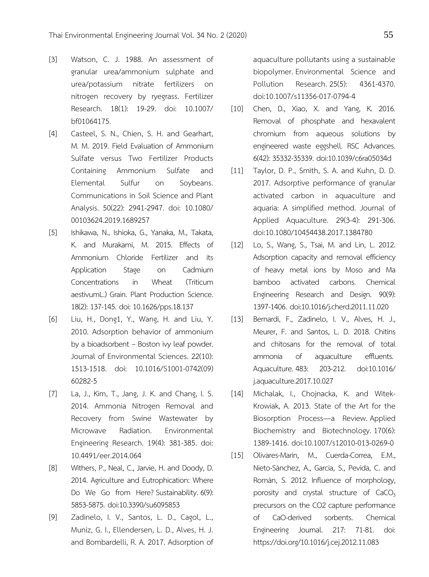- [3] Watson, C. J. 1988. An assessment of granular urea/ammonium sulphate and urea/potassium nitrate fertilizers on nitrogen recovery by ryegrass. Fertilizer Research. 18(1): 19-29. doi: 10.1007/ bf01064175.
- [4] Casteel, S. N., Chien, S. H. and Gearhart, M. M. 2019. Field Evaluation of Ammonium Sulfate versus Two Fertilizer Products Containing Ammonium Sulfate and Elemental Sulfur on Soybeans. Communications in Soil Science and Plant Analysis. 50(22): 2941-2947. doi: 10.1080/ 00103624.2019.1689257
- [5] Ishikawa, N., Ishioka, G., Yanaka, M., Takata, K. and Murakami, M. 2015. Effects of Ammonium Chloride Fertilizer and its Application Stage on Cadmium Concentrations in Wheat (Triticum aestivumL.) Grain. Plant Production Science. 18(2): 137-145. doi: 10.1626/pps.18.137
- [6] Liu, H., Dong1, Y., Wang, H. and Liu, Y. 2010. Adsorption behavior of ammonium by a bioadsorbent – Boston ivy leaf powder. Journal of Environmental Sciences. 22(10): 1513-1518. doi: 10.1016/S1001-0742(09) 60282-5
- [7] La, J., Kim, T., Jang, J. K. and Chang, I. S. 2014. Ammonia Nitrogen Removal and Recovery from Swine Wastewater by Microwave Radiation. Environmental Engineering Research. 19(4): 381-385. doi: 10.4491/eer.2014.064
- [8] Withers, P., Neal, C., Jarvie, H. and Doody, D. 2014. Agriculture and Eutrophication: Where Do We Go from Here? Sustainability. 6(9): 5853-5875. doi:10.3390/su6095853
- [9] Zadinelo, I. V., Santos, L. D., Cagol, L., Muniz, G. I., Ellendersen, L. D., Alves, H. J. and Bombardelli, R. A. 2017. Adsorption of

aquaculture pollutants using a sustainable biopolymer. Environmental Science and Pollution Research. 25(5): 4361-4370. doi:10.1007/s11356-017-0794-4

- [10] Chen, D., Xiao, X. and Yang, K. 2016. Removal of phosphate and hexavalent chromium from aqueous solutions by engineered waste eggshell. RSC Advances. 6(42): 35332-35339. doi:10.1039/c6ra05034d
- [11] Taylor, D. P., Smith, S. A. and Kuhn, D. D. 2017. Adsorptive performance of granular activated carbon in aquaculture and aquaria: A simplified method. Journal of Applied Aquaculture. 29(3-4): 291-306. doi:10.1080/10454438.2017.1384780
- [12] Lo, S., Wang, S., Tsai, M. and Lin, L. 2012. Adsorption capacity and removal efficiency of heavy metal ions by Moso and Ma bamboo activated carbons. Chemical Engineering Research and Design. 90(9): 1397-1406. doi:10.1016/j.cherd.2011.11.020
- [13] Bernardi, F., Zadinelo, I. V., Alves, H. J., Meurer, F. and Santos, L. D. 2018. Chitins and chitosans for the removal of total ammonia of aquaculture effluents. Aquaculture.483: 203-212. doi:10.1016/ j.aquaculture.2017.10.027
- [14] Michalak, I., Chojnacka, K. and Witek-Krowiak, A. 2013. State of the Art for the Biosorption Process—a Review. Applied Biochemistry and Biotechnology. 170(6): 1389-1416. doi:10.1007/s12010-013-0269-0
- [15] Olivares-Marín, M., Cuerda-Correa, E.M., Nieto-Sánchez, A., Garcia, S., Pevida, C. and Román, S. 2012. Influence of morphology, porosity and crystal structure of  $CaCO<sub>3</sub>$ precursors on the CO2 capture performance of CaO-derived sorbents. Chemical Engineering Journal. 217: 71-81. doi: https://doi.org/10.1016/j.cej.2012.11.083